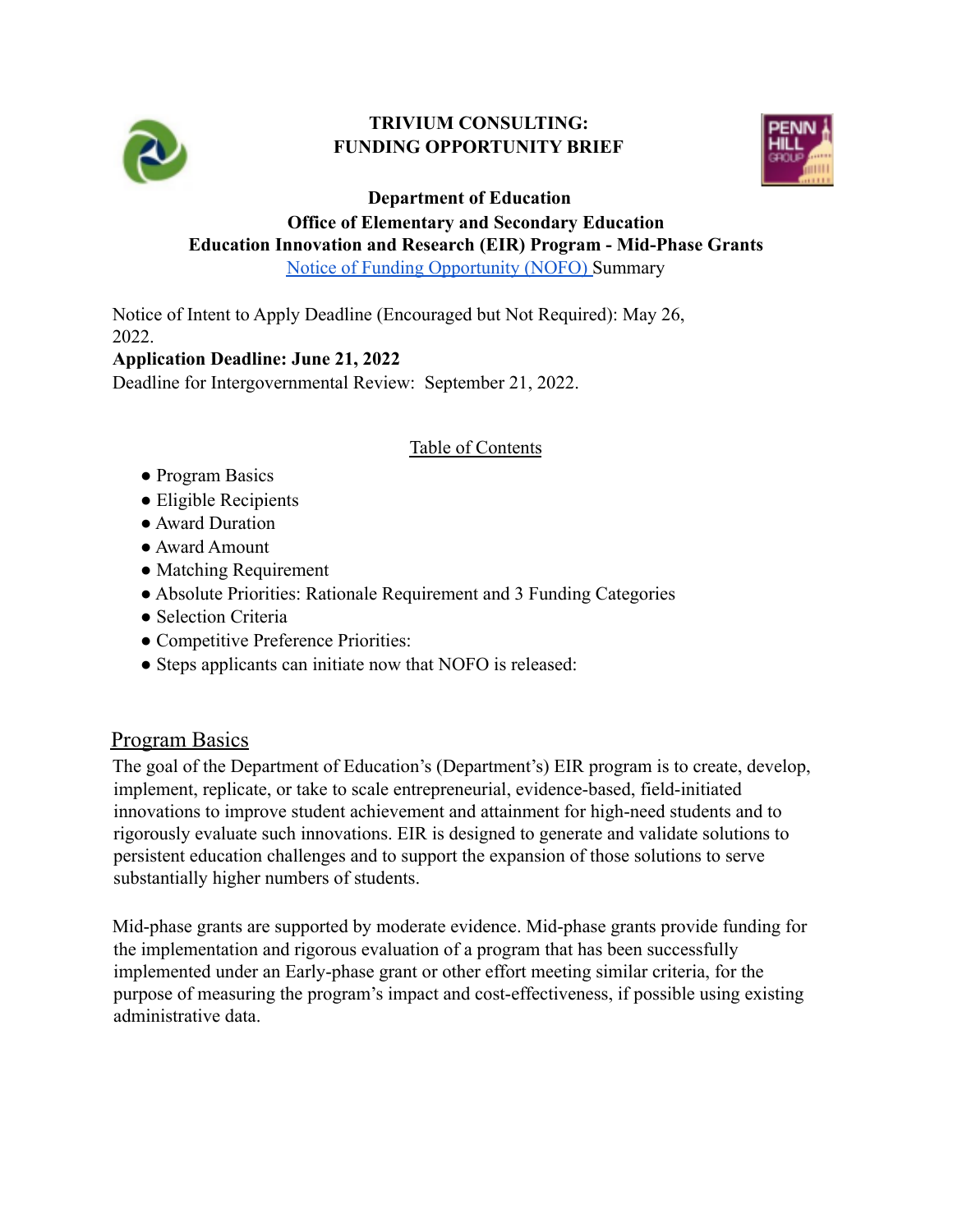

#### **TRIVIUM CONSULTING: FUNDING OPPORTUNITY BRIEF**



**Department of Education**

# **Office of Elementary and Secondary Education Education Innovation and Research (EIR) Program - Mid-Phase Grants**

[Notice of Funding Opportunity \(NOFO\)](https://www.grants.gov/web/grants/view-opportunity.html?oppId=339799) Summary

Notice of Intent to Apply Deadline (Encouraged but Not Required): May 26, 2022.

#### **Application Deadline: June 21, 2022**

Deadline for Intergovernmental Review: September 21, 2022.

#### Table of Contents

- Program Basics
- Eligible Recipients
- Award Duration
- Award Amount
- Matching Requirement
- Absolute Priorities: Rationale Requirement and 3 Funding Categories
- Selection Criteria
- Competitive Preference Priorities:
- Steps applicants can initiate now that NOFO is released:

## Program Basics

The goal of the Department of Education's (Department's) EIR program is to create, develop, implement, replicate, or take to scale entrepreneurial, evidence-based, field-initiated innovations to improve student achievement and attainment for high-need students and to rigorously evaluate such innovations. EIR is designed to generate and validate solutions to persistent education challenges and to support the expansion of those solutions to serve substantially higher numbers of students.

Mid-phase grants are supported by moderate evidence. Mid-phase grants provide funding for the implementation and rigorous evaluation of a program that has been successfully implemented under an Early-phase grant or other effort meeting similar criteria, for the purpose of measuring the program's impact and cost-effectiveness, if possible using existing administrative data.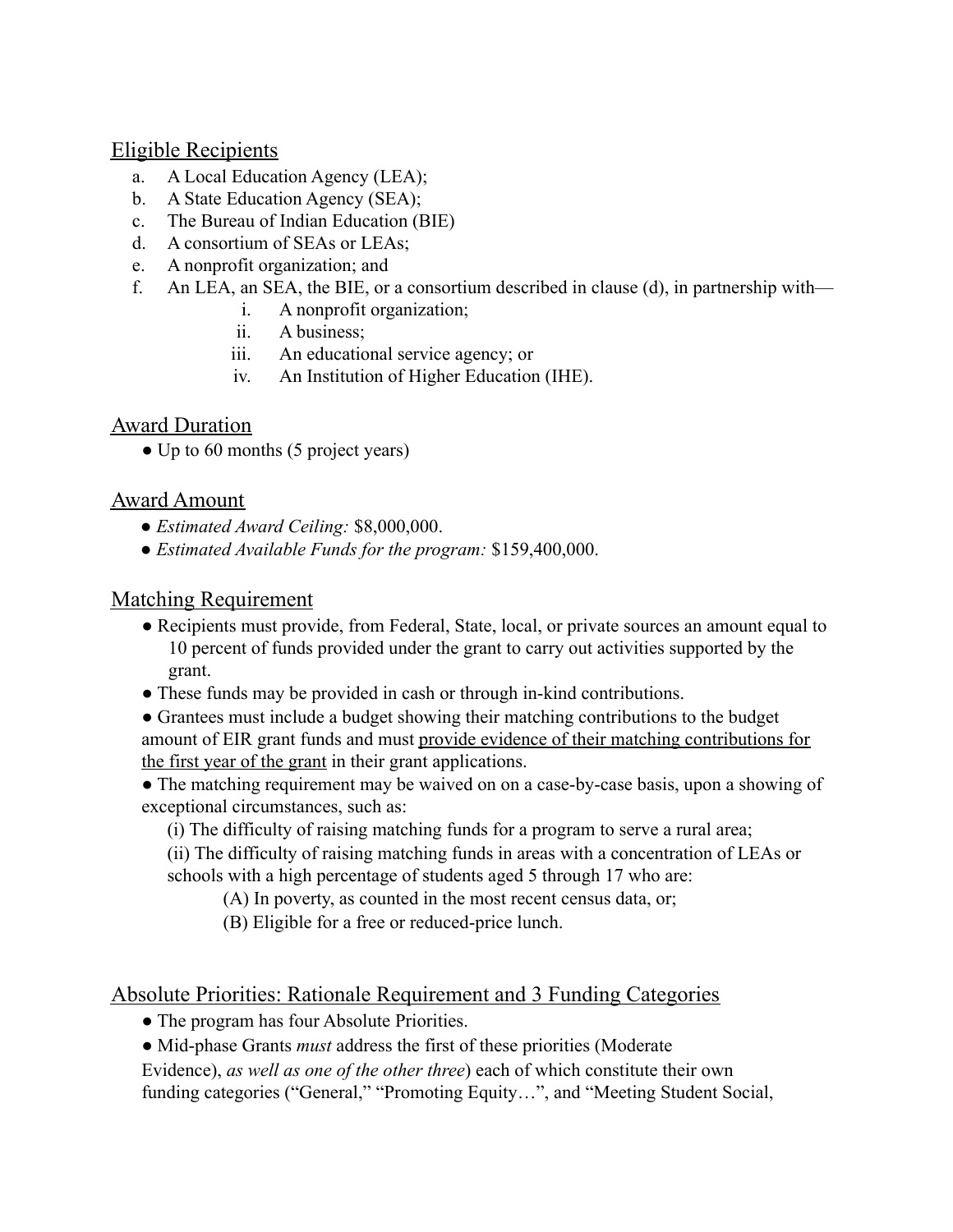#### Eligible Recipients

- a. A Local Education Agency (LEA);
- b. A State Education Agency (SEA);
- c. The Bureau of Indian Education (BIE)
- d. A consortium of SEAs or LEAs;
- e. A nonprofit organization; and
- f. An LEA, an SEA, the BIE, or a consortium described in clause (d), in partnership with
	- i. A nonprofit organization;
	- ii. A business;
	- iii. An educational service agency; or
	- iv. An Institution of Higher Education (IHE).

## **Award Duration**

• Up to 60 months (5 project years)

## Award Amount

- *Estimated Award Ceiling:* \$8,000,000.
- *Estimated Available Funds for the program:* \$159,400,000.

## Matching Requirement

- Recipients must provide, from Federal, State, local, or private sources an amount equal to 10 percent of funds provided under the grant to carry out activities supported by the grant.
- These funds may be provided in cash or through in-kind contributions.
- Grantees must include a budget showing their matching contributions to the budget amount of EIR grant funds and must provide evidence of their matching contributions for the first year of the grant in their grant applications.
- The matching requirement may be waived on on a case-by-case basis, upon a showing of exceptional circumstances, such as:
	- (i) The difficulty of raising matching funds for a program to serve a rural area;
	- (ii) The difficulty of raising matching funds in areas with a concentration of LEAs or schools with a high percentage of students aged 5 through 17 who are:
		- (A) In poverty, as counted in the most recent census data, or;
		- (B) Eligible for a free or reduced-price lunch.

## Absolute Priorities: Rationale Requirement and 3 Funding Categories

- The program has four Absolute Priorities.
- Mid-phase Grants *must* address the first of these priorities (Moderate

Evidence), *as well as one of the other three*) each of which constitute their own

funding categories ("General," "Promoting Equity…", and "Meeting Student Social,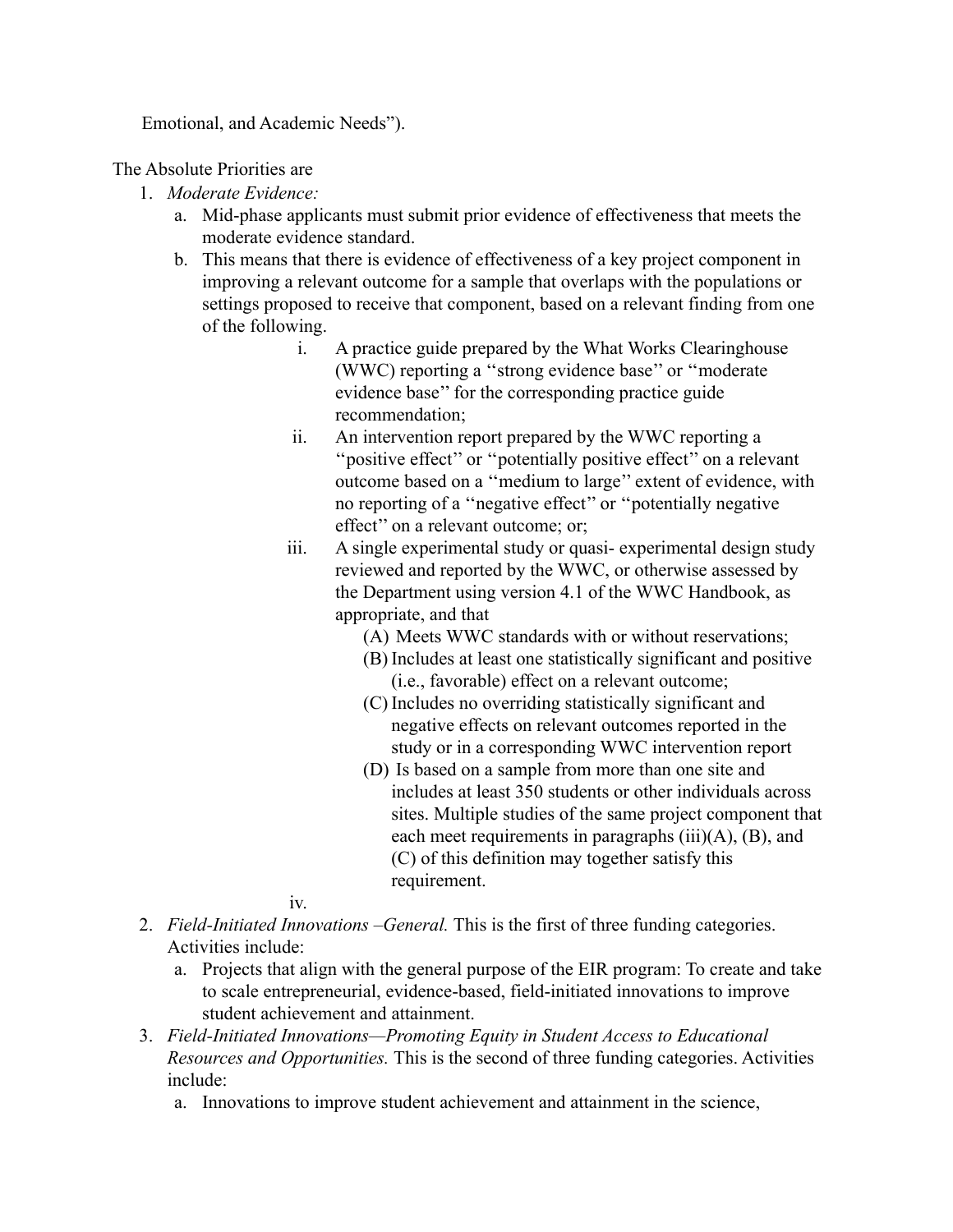Emotional, and Academic Needs").

The Absolute Priorities are

- 1. *Moderate Evidence:*
	- a. Mid-phase applicants must submit prior evidence of effectiveness that meets the moderate evidence standard.
	- b. This means that there is evidence of effectiveness of a key project component in improving a relevant outcome for a sample that overlaps with the populations or settings proposed to receive that component, based on a relevant finding from one of the following.
		- i. A practice guide prepared by the What Works Clearinghouse (WWC) reporting a ''strong evidence base'' or ''moderate evidence base'' for the corresponding practice guide recommendation;
		- ii. An intervention report prepared by the WWC reporting a ''positive effect'' or ''potentially positive effect'' on a relevant outcome based on a ''medium to large'' extent of evidence, with no reporting of a ''negative effect'' or ''potentially negative effect'' on a relevant outcome; or;
		- iii. A single experimental study or quasi- experimental design study reviewed and reported by the WWC, or otherwise assessed by the Department using version 4.1 of the WWC Handbook, as appropriate, and that
			- (A) Meets WWC standards with or without reservations;
			- (B) Includes at least one statistically significant and positive (i.e., favorable) effect on a relevant outcome;
			- (C) Includes no overriding statistically significant and negative effects on relevant outcomes reported in the study or in a corresponding WWC intervention report
			- (D) Is based on a sample from more than one site and includes at least 350 students or other individuals across sites. Multiple studies of the same project component that each meet requirements in paragraphs  $(iii)(A)$ ,  $(B)$ , and (C) of this definition may together satisfy this requirement.

iv.

- 2. *Field-Initiated Innovations –General.* This is the first of three funding categories. Activities include:
	- a. Projects that align with the general purpose of the EIR program: To create and take to scale entrepreneurial, evidence-based, field-initiated innovations to improve student achievement and attainment.
- 3. *Field-Initiated Innovations—Promoting Equity in Student Access to Educational Resources and Opportunities.* This is the second of three funding categories. Activities include:
	- a. Innovations to improve student achievement and attainment in the science,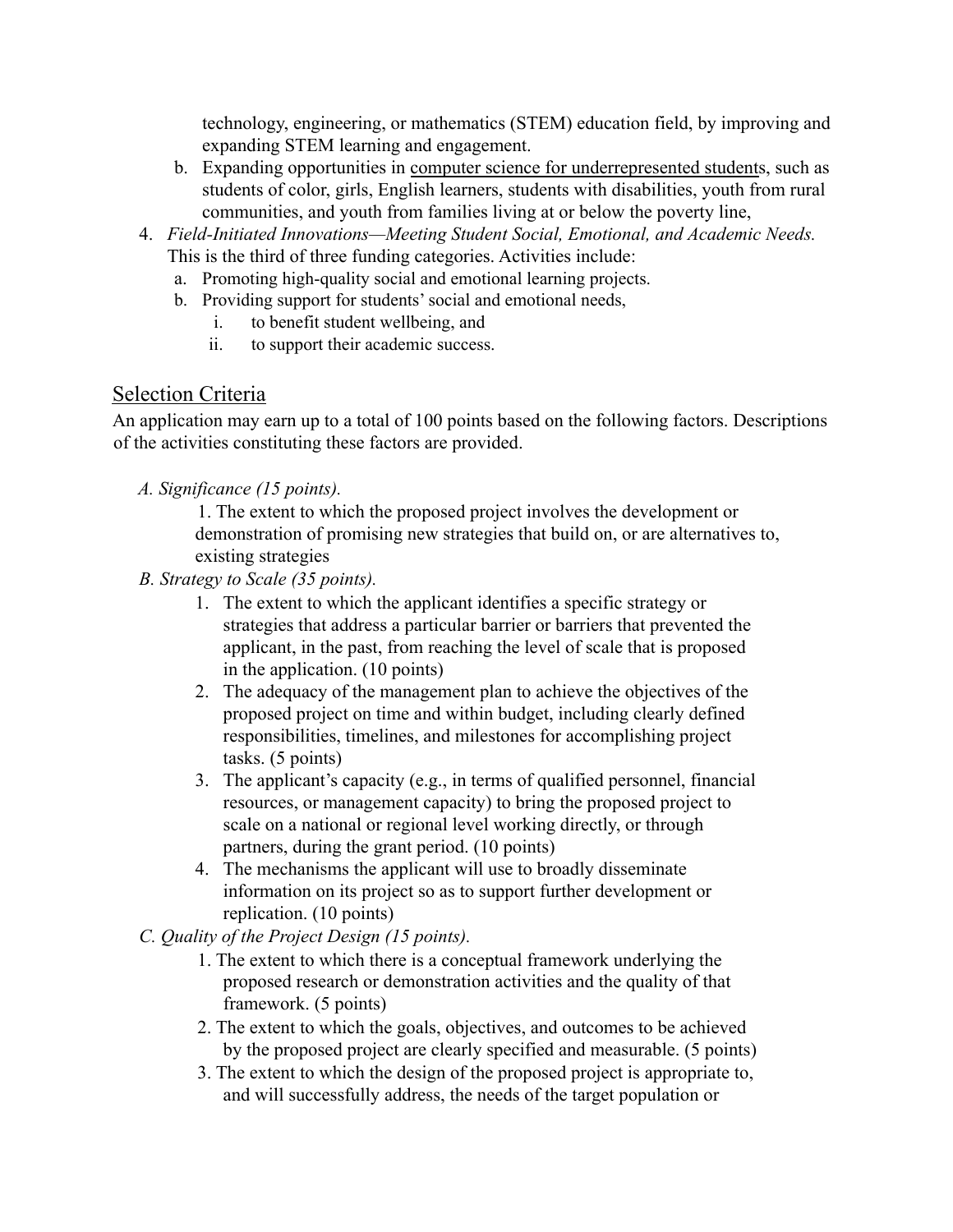technology, engineering, or mathematics (STEM) education field, by improving and expanding STEM learning and engagement.

- b. Expanding opportunities in computer science for underrepresented students, such as students of color, girls, English learners, students with disabilities, youth from rural communities, and youth from families living at or below the poverty line,
- 4. *Field-Initiated Innovations—Meeting Student Social, Emotional, and Academic Needs.* This is the third of three funding categories. Activities include:
	- a. Promoting high-quality social and emotional learning projects.
	- b. Providing support for students'social and emotional needs,
		- i. to benefit student wellbeing, and
		- ii. to support their academic success.

## Selection Criteria

An application may earn up to a total of 100 points based on the following factors. Descriptions of the activities constituting these factors are provided.

*A. Significance (15 points).*

1. The extent to which the proposed project involves the development or demonstration of promising new strategies that build on, or are alternatives to, existing strategies

- *B. Strategy to Scale (35 points).*
	- 1. The extent to which the applicant identifies a specific strategy or strategies that address a particular barrier or barriers that prevented the applicant, in the past, from reaching the level of scale that is proposed in the application. (10 points)
	- 2. The adequacy of the management plan to achieve the objectives of the proposed project on time and within budget, including clearly defined responsibilities, timelines, and milestones for accomplishing project tasks. (5 points)
	- 3. The applicant's capacity (e.g., in terms of qualified personnel, financial resources, or management capacity) to bring the proposed project to scale on a national or regional level working directly, or through partners, during the grant period. (10 points)
	- 4. The mechanisms the applicant will use to broadly disseminate information on its project so as to support further development or replication. (10 points)
- *C. Quality of the Project Design (15 points).*
	- 1. The extent to which there is a conceptual framework underlying the proposed research or demonstration activities and the quality of that framework. (5 points)
	- 2. The extent to which the goals, objectives, and outcomes to be achieved by the proposed project are clearly specified and measurable. (5 points)
	- 3. The extent to which the design of the proposed project is appropriate to, and will successfully address, the needs of the target population or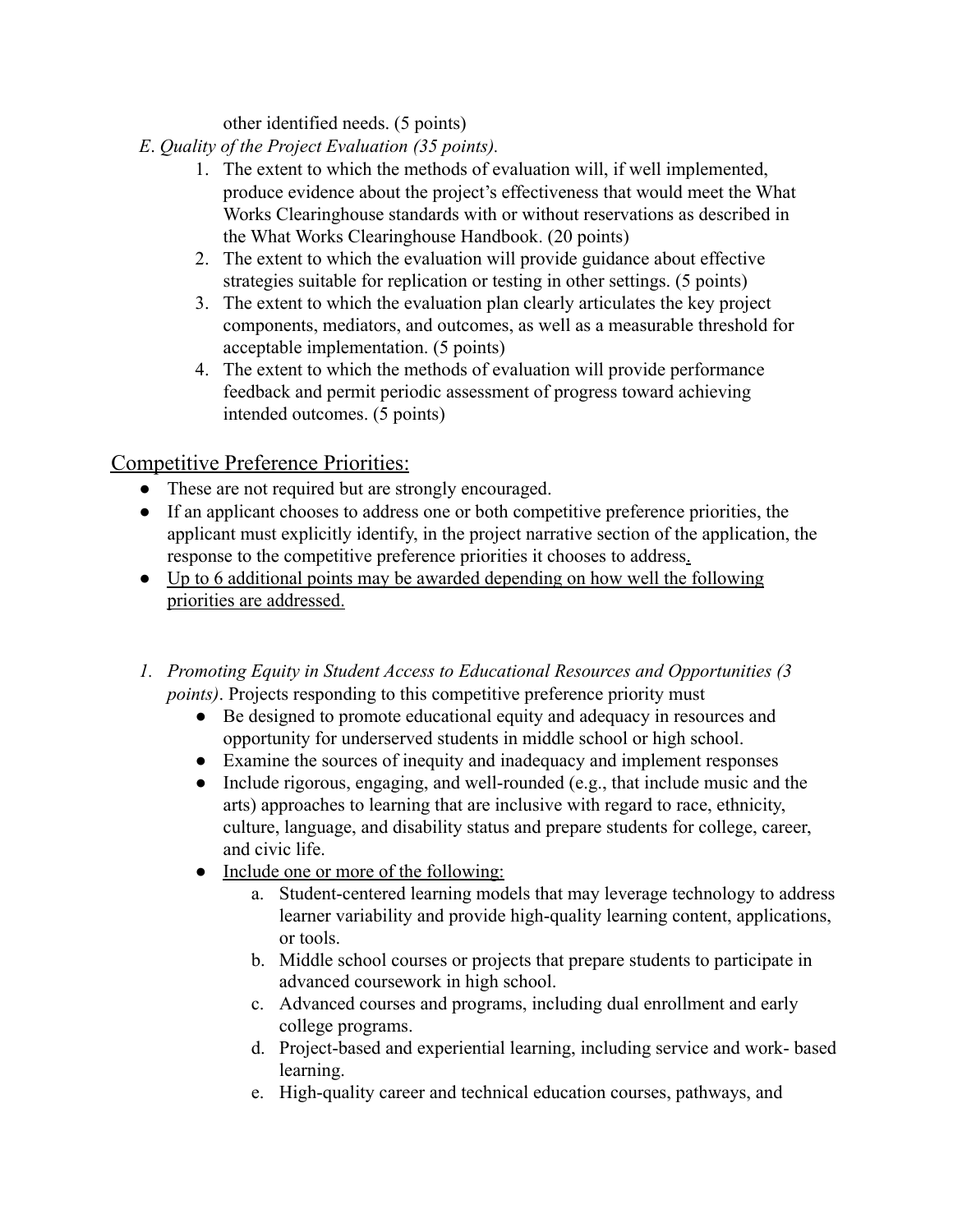other identified needs. (5 points)

- *E*. *Quality of the Project Evaluation (35 points).*
	- 1. The extent to which the methods of evaluation will, if well implemented, produce evidence about the project's effectiveness that would meet the What Works Clearinghouse standards with or without reservations as described in the What Works Clearinghouse Handbook. (20 points)
	- 2. The extent to which the evaluation will provide guidance about effective strategies suitable for replication or testing in other settings. (5 points)
	- 3. The extent to which the evaluation plan clearly articulates the key project components, mediators, and outcomes, as well as a measurable threshold for acceptable implementation. (5 points)
	- 4. The extent to which the methods of evaluation will provide performance feedback and permit periodic assessment of progress toward achieving intended outcomes. (5 points)

## Competitive Preference Priorities:

- These are not required but are strongly encouraged.
- If an applicant chooses to address one or both competitive preference priorities, the applicant must explicitly identify, in the project narrative section of the application, the response to the competitive preference priorities it chooses to address.
- Up to 6 additional points may be awarded depending on how well the following priorities are addressed.
- *1. Promoting Equity in Student Access to Educational Resources and Opportunities (3 points*). Projects responding to this competitive preference priority must
	- Be designed to promote educational equity and adequacy in resources and opportunity for underserved students in middle school or high school.
	- Examine the sources of inequity and inadequacy and implement responses
	- Include rigorous, engaging, and well-rounded (e.g., that include music and the arts) approaches to learning that are inclusive with regard to race, ethnicity, culture, language, and disability status and prepare students for college, career, and civic life.
	- Include one or more of the following:
		- a. Student-centered learning models that may leverage technology to address learner variability and provide high-quality learning content, applications, or tools.
		- b. Middle school courses or projects that prepare students to participate in advanced coursework in high school.
		- c. Advanced courses and programs, including dual enrollment and early college programs.
		- d. Project-based and experiential learning, including service and work- based learning.
		- e. High-quality career and technical education courses, pathways, and